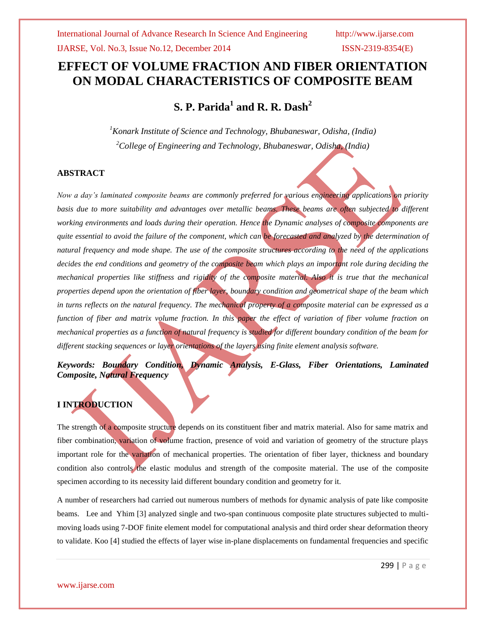IJARSE, Vol. No.3, Issue No.12, December 2014 ISSN-2319-8354(E)

# **EFFECT OF VOLUME FRACTION AND FIBER ORIENTATION ON MODAL CHARACTERISTICS OF COMPOSITE BEAM**

**S. P. Parida<sup>1</sup> and R. R. Dash<sup>2</sup>**

*<sup>1</sup>Konark Institute of Science and Technology, Bhubaneswar, Odisha, (India) <sup>2</sup>College of Engineering and Technology, Bhubaneswar, Odisha, (India)*

## **ABSTRACT**

*Now a day's laminated composite beams are commonly preferred for various engineering applications on priority basis due to more suitability and advantages over metallic beams. These beams are often subjected to different working environments and loads during their operation. Hence the Dynamic analyses of composite components are quite essential to avoid the failure of the component, which can be forecasted and analyzed by the determination of natural frequency and mode shape. The use of the composite structures according to the need of the applications decides the end conditions and geometry of the composite beam which plays an important role during deciding the mechanical properties like stiffness and rigidity of the composite material. Also it is true that the mechanical properties depend upon the orientation of fiber layer, boundary condition and geometrical shape of the beam which in turns reflects on the natural frequency. The mechanical property of a composite material can be expressed as a function of fiber and matrix volume fraction. In this paper the effect of variation of fiber volume fraction on mechanical properties as a function of natural frequency is studied for different boundary condition of the beam for different stacking sequences or layer orientations of the layers using finite element analysis software.* 

*Keywords: Boundary Condition, Dynamic Analysis, E-Glass, Fiber Orientations, Laminated Composite, Natural Frequency*

# **I INTRODUCTION**

The strength of a composite structure depends on its constituent fiber and matrix material. Also for same matrix and fiber combination, variation of volume fraction, presence of void and variation of geometry of the structure plays important role for the variation of mechanical properties. The orientation of fiber layer, thickness and boundary condition also controls the elastic modulus and strength of the composite material. The use of the composite specimen according to its necessity laid different boundary condition and geometry for it.

A number of researchers had carried out numerous numbers of methods for dynamic analysis of pate like composite beams. [Lee](http://www.sciencedirect.com/science/article/pii/S0020768304001556) [and](http://www.sciencedirect.com/science/article/pii/S0020768304001556) Yhim [3] analyzed single and two-span continuous composite plate structures subjected to multimoving loads using 7-DOF finite element model for computational analysis and third order shear deformation theory to validate. Koo [4] studied the effects of layer wise in-plane displacements on fundamental frequencies and specific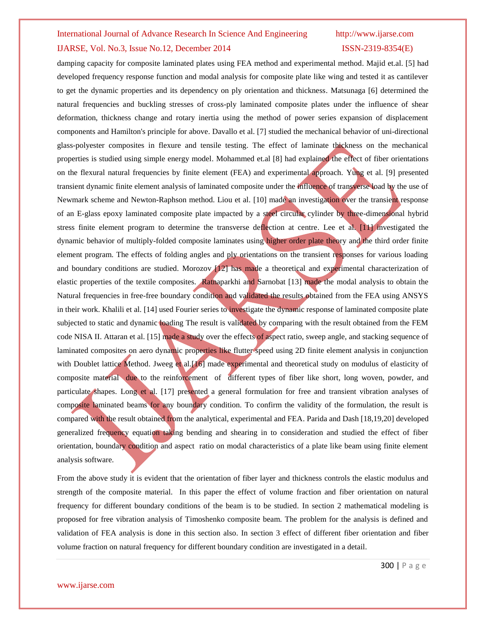# IJARSE, Vol. No.3, Issue No.12, December 2014 ISSN-2319-8354(E)

damping capacity for composite laminated plates using FEA method and experimental method. Majid et.al. [5] had developed frequency response function and modal analysis for composite plate like wing and tested it as cantilever to get the dynamic properties and its dependency on ply orientation and thickness. Matsunaga [6] determined the natural frequencies and buckling stresses of cross-ply laminated composite plates under the influence of shear deformation, thickness change and rotary inertia using the method of power series expansion of displacement components and Hamilton's principle for above. Davallo et al. [7] studied the mechanical behavior of uni-directional glass-polyester composites in flexure and tensile testing. The effect of laminate thickness on the mechanical properties is studied using simple energy model. Mohammed et.al [8] had explained the effect of fiber orientations on the flexural natural frequencies by finite element (FEA) and experimental approach. [Yung](http://www.sciencedirect.com/science/article/pii/0045794989903933) et al. [9] presented transient dynamic finite element analysis of laminated composite under the influence of transverse load by the use of Newmark scheme and Newton-Raphson method. Liou et al. [10] made an investigation over the transient response of an E-glass epoxy laminated composite plate impacted by a steel circular cylinder by three-dimensional hybrid stress finite element program to determine the transverse deflection at centre. Lee et al. [11] investigated the dynamic behavior of multiply-folded composite laminates using higher order plate theory and the third order finite element program. The effects of folding angles and ply orientations on the transient responses for various loading and boundary conditions are studied. Morozov [12] has made a theoretical and experimental characterization of elastic properties of the textile composites. Ratnaparkhi and Sarnobat [13] made the modal analysis to obtain the Natural frequencies in free-free boundary condition and validated the results obtained from the FEA using ANSYS in their work. Khalili et al. [14] used Fourier series to investigate the dynamic response of laminated composite plate subjected to static and dynamic loading The result is validated by comparing with the result obtained from the FEM code NISA II. Attaran et al. [15] made a study over the effects of aspect ratio, sweep angle, and stacking sequence of laminated composites on aero dynamic properties like flutter speed using 2D finite element analysis in conjunction with Doublet lattice Method. Jweeg et al.[16] made experimental and theoretical study on modulus of elasticity of composite material due to the reinforcement of different types of fiber like short, long woven, powder, and particulate shapes. Long et al. [17] presented a general formulation for free and transient vibration analyses of composite laminated beams for any boundary condition. To confirm the validity of the formulation, the result is compared with the result obtained from the analytical, experimental and FEA. Parida and Dash [18,19,20] developed generalized frequency equation taking bending and shearing in to consideration and studied the effect of fiber orientation, boundary condition and aspect ratio on modal characteristics of a plate like beam using finite element analysis software.

From the above study it is evident that the orientation of fiber layer and thickness controls the elastic modulus and strength of the composite material. In this paper the effect of volume fraction and fiber orientation on natural frequency for different boundary conditions of the beam is to be studied. In section 2 mathematical modeling is proposed for free vibration analysis of Timoshenko composite beam. The problem for the analysis is defined and validation of FEA analysis is done in this section also. In section 3 effect of different fiber orientation and fiber volume fraction on natural frequency for different boundary condition are investigated in a detail.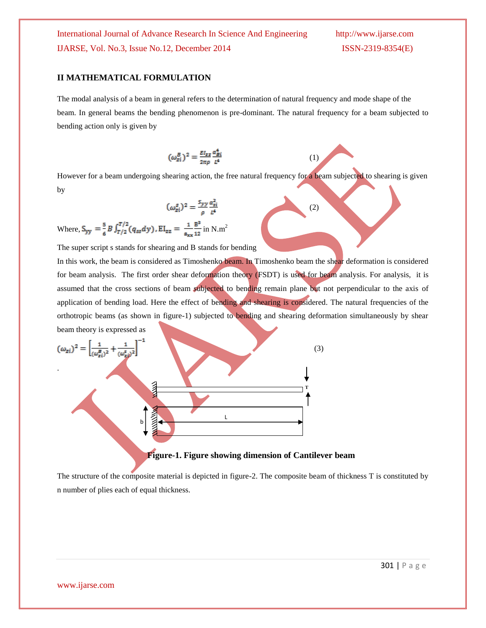## **II MATHEMATICAL FORMULATION**

The modal analysis of a beam in general refers to the determination of natural frequency and mode shape of the beam. In general beams the bending phenomenon is pre-dominant. The natural frequency for a beam subjected to bending action only is given by

$$
(\omega_{zi}^B)^2 = \frac{\varepsilon_{I_{zz}}}{2\pi\rho} \frac{\alpha_{Bi}^4}{t^4}
$$

However for a beam undergoing shearing action, the free natural frequency for a beam subjected to shearing is given by

(2)

(1)

$$
(\omega_{zi}^s)^2 = \frac{s_{yy}}{\rho} \frac{\alpha_{zi}^2}{L^4}
$$

Where,  $S_{yy} = \frac{5}{6} B \int_{T/2}^{T/2} (q_{ss}dy)$ ,  $EI_{zz} = \frac{1}{a_{xx}} \frac{B^3}{12}$  in N.m<sup>2</sup>

The super script s stands for shearing and B stands for bending

In this work, the beam is considered as Timoshenko beam. In Timoshenko beam the shear deformation is considered for beam analysis. The first order shear deformation theory (FSDT) is used for beam analysis. For analysis, it is assumed that the cross sections of beam subjected to bending remain plane but not perpendicular to the axis of application of bending load. Here the effect of bending and shearing is considered. The natural frequencies of the orthotropic beams (as shown in figure-1) subjected to bending and shearing deformation simultaneously by shear beam theory is expressed as

$$
(\omega_{zi})^2 = \left[\frac{1}{(\omega_{zi}^B)^2} + \frac{1}{(\omega_{zi}^B)^2}\right]^{-1}
$$
\n(3)

The structure of the composite material is depicted in figure-2. The composite beam of thickness T is constituted by n number of plies each of equal thickness.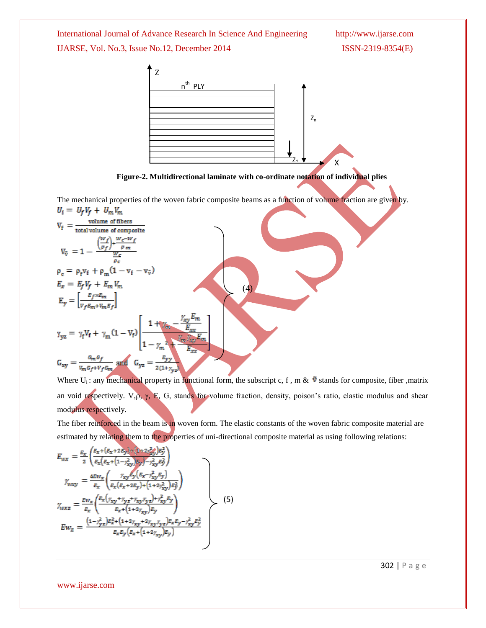International Journal of Advance Research In Science And Engineering http://www.ijarse.com IJARSE, Vol. No.3, Issue No.12, December 2014 ISSN-2319-8354(E)



**Figure-2. Multidirectional laminate with co-ordinate notation of individual plies**

The mechanical properties of the woven fabric composite beams as a function of volume fraction are given by*.*   $U_i = U_k V_k + U_m V_m$ 

$$
V_{f} = \frac{\text{volume of fibers}}{\text{total volume of composite}}
$$
\n
$$
V_{\tilde{v}} = 1 - \frac{\left(\frac{W_{f}}{p_{f}}\right) + \frac{W_{c}-W_{f}}{p_{m}}}{\frac{W_{c}}{p_{c}}}
$$
\n
$$
\rho_{c} = \rho_{f}v_{f} + \rho_{m}(1 - v_{f} - v_{\tilde{v}})
$$
\n
$$
E_{x} = E_{f}V_{f} + E_{m}V_{m}
$$
\n
$$
E_{y} = \left[\frac{E_{f} \times E_{m}}{V_{f}E_{m} + V_{m}E_{f}}\right]
$$
\n
$$
\gamma_{yz} = \gamma_{f}V_{f} + \gamma_{m}(1 - V_{f}) \left[\frac{1 + \left(\frac{W_{f}}{m} - \frac{\gamma_{xy}E_{m}}{E_{xx}}\right)}{1 - \gamma_{m}^{2} + \frac{\left(\frac{W_{f}}{m} - \frac{\gamma_{xy}E_{m}}{E_{xx}}\right)}{E_{xx}}}\right]
$$
\n
$$
G_{xy} = \frac{G_{m}G_{f}}{V_{m}G_{f} + V_{f}G_{m}} \text{ and } G_{yz} = \frac{E_{yy}}{2(1 + \gamma_{m})}
$$

Where  $U_i$ : any mechanical property in functional form, the subscript c, f, m &  $\tilde{v}$  stands for composite, fiber ,matrix an void respectively. V, $\rho$ ,  $\gamma$ , E, G, stands for volume fraction, density, poison's ratio, elastic modulus and shear modulus respectively.

The fiber reinforced in the beam is in woven form. The elastic constants of the woven fabric composite material are estimated by relating them to the properties of uni-directional composite material as using following relations:

$$
E_{wx} = \frac{E_x}{2} \left( \frac{E_x + (E_x + 2E_y) + (1 + 2\gamma_{xy}^2)E_y^2}{E_x (E_x + (1 - \gamma_{xy}^2)E_y) - \gamma_{xy}^2 E_y^2} \right)
$$
  
\n
$$
\gamma_{wxy} = \frac{4E w_x}{E_x} \left( \frac{\gamma_{xy} E_y (E_x - \gamma_{xy}^2 E_y)}{E_x (E_x + 2E_y) + (1 + 2\gamma_{xy}^2)E_y^2} \right)
$$
  
\n
$$
\gamma_{wxz} = \frac{E w_x}{E_x} \left( \frac{E_x (\gamma_{xy} + \gamma_{yz} + \gamma_{xy} \gamma_{yz}) + \gamma_{xy}^2 E_y}{E_x + (1 + 2\gamma_{xy})E_y} \right)
$$
  
\n
$$
E w_z = \frac{(1 - \gamma_{yz}^2)E_x^2 + (1 + 2\gamma_{xy} + 2\gamma_{xy} \gamma_{yz})E_x E_y - \gamma_{xy}^2 E_y^2}{E_x E_y (E_x + (1 + 2\gamma_{xy})E_y)}
$$
\n(5)

302 | P a g e

www.ijarse.com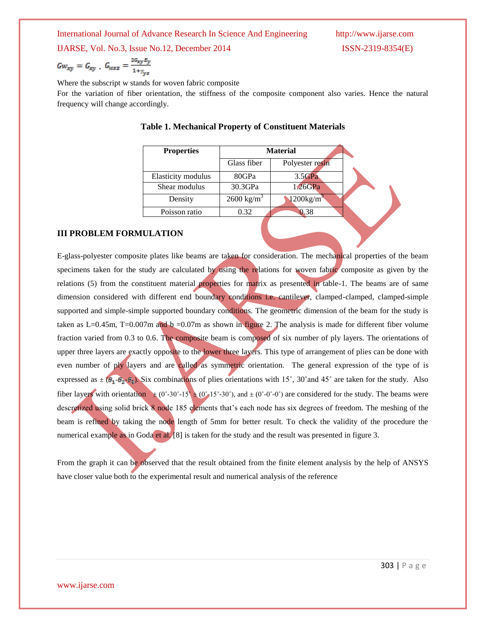International Journal of Advance Research In Science And Engineering

IJARSE, Vol. No.3, Issue No.12, December 2014 ISSN-2319-8354(E)

$$
Gw_{xy} = G_{xy}, \ G_{wxz} = \frac{2G_{xy}E_y}{1 + \gamma_{yz}}
$$

Where the subscript w stands for woven fabric composite

For the variation of fiber orientation, the stiffness of the composite component also varies. Hence the natural frequency will change accordingly.

| <b>Properties</b>  | <b>Material</b>       |                          |  |
|--------------------|-----------------------|--------------------------|--|
|                    | Glass fiber           | Polyester resin          |  |
| Elasticity modulus | 80GPa                 | 3.5GPa                   |  |
| Shear modulus      | 30.3GPa               | 1.26GPa                  |  |
| Density            | $2600 \text{ kg/m}^3$ | $1200$ kg/m <sup>3</sup> |  |
| Poisson ratio      | 0.32                  | 0.38                     |  |

|  |  |  |  | Table 1. Mechanical Property of Constituent Materials |  |
|--|--|--|--|-------------------------------------------------------|--|
|--|--|--|--|-------------------------------------------------------|--|

# **III PROBLEM FORMULATION**

E-glass-polyester composite plates like beams are taken for consideration. The mechanical properties of the beam specimens taken for the study are calculated by using the relations for woven fabric composite as given by the relations (5) from the constituent material properties for matrix as presented in table-1. The beams are of same dimension considered with different end boundary conditions i.e. cantilever, clamped-clamped, clamped-simple supported and simple-simple supported boundary conditions. The geometric dimension of the beam for the study is taken as  $L=0.45$ m, T $=0.007$ m and b  $=0.07$ m as shown in figure 2. The analysis is made for different fiber volume fraction varied from 0.3 to 0.6. The composite beam is composed of six number of ply layers. The orientations of upper three layers are exactly opposite to the lower three layers. This type of arrangement of plies can be done with even number of ply layers and are called as symmetric orientation. The general expression of the type of is expressed as  $\pm (\theta_1 - \theta_2 - \theta_3)$ . Six combinations of plies orientations with 15°, 30° and 45° are taken for the study. Also fiber layers with orientation  $\pm (0°-30°-15' \pm (0°-15°-30°))$ , and  $\pm (0°-0°-0°)$  are considered for the study. The beams were descretized using solid brick 8 node 185 elements that's each node has six degrees of freedom. The meshing of the beam is refined by taking the node length of 5mm for better result. To check the validity of the procedure the numerical example as in Goda et al. [8] is taken for the study and the result was presented in figure 3.

From the graph it can be observed that the result obtained from the finite element analysis by the help of ANSYS have closer value both to the experimental result and numerical analysis of the reference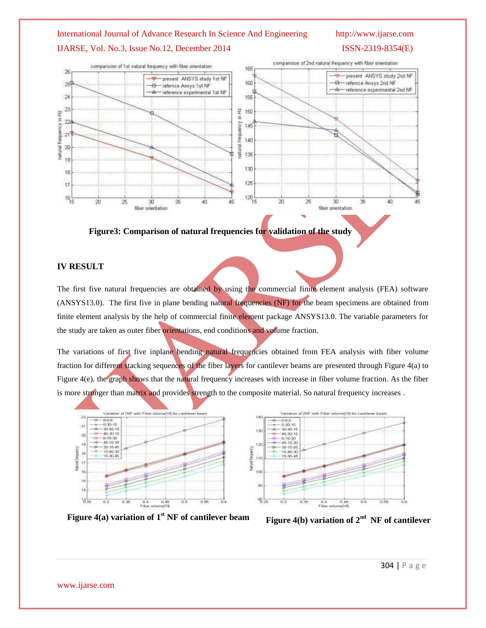# IJARSE, Vol. No.3, Issue No.12, December 2014 ISSN-2319-8354(E)



# **Figure3: Comparison of natural frequencies for validation of the study**

# **IV RESULT**

The first five natural frequencies are obtained by using the commercial finite element analysis (FEA) software (ANSYS13.0). The first five in plane bending natural frequencies (NF) for the beam specimens are obtained from finite element analysis by the help of commercial finite element package ANSYS13.0. The variable parameters for the study are taken as outer fiber orientations, end conditions and volume fraction.

The variations of first five inplane bending natural frequencies obtained from FEA analysis with fiber volume fraction for different stacking sequences of the fiber layers for cantilever beams are presented through Figure 4(a) to Figure 4(e). the graph shows that the natural frequency increases with increase in fiber volume fraction. As the fiber is more stronger than matrix and provides strength to the composite material. So natural frequency increases .





**Figure 4(a) variation of**  $1<sup>st</sup>$  **NF of cantilever beam** 

**Figure 4(b) variation of**  $2^{nd}$  **NF of cantilever**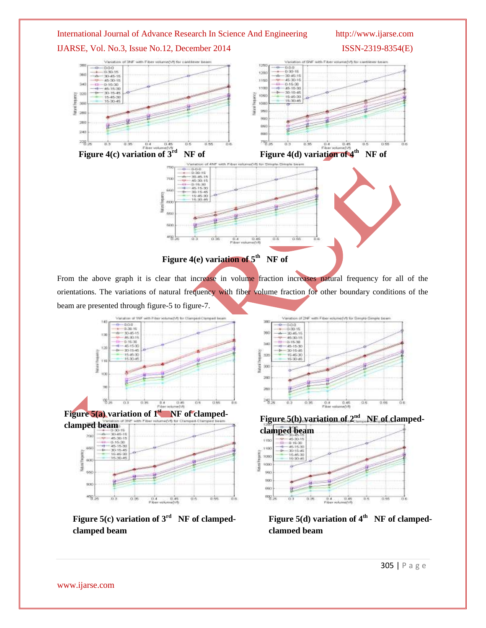

From the above graph it is clear that increase in volume fraction increases natural frequency for all of the orientations. The variations of natural frequency with fiber volume fraction for other boundary conditions of the beam are presented through figure-5 to figure-7.



Figure 5(c) variation of 3<sup>rd</sup> NF of clamped**clamped beam**





**Figure 5(d) variation of 4th NF of clampedclamped beam**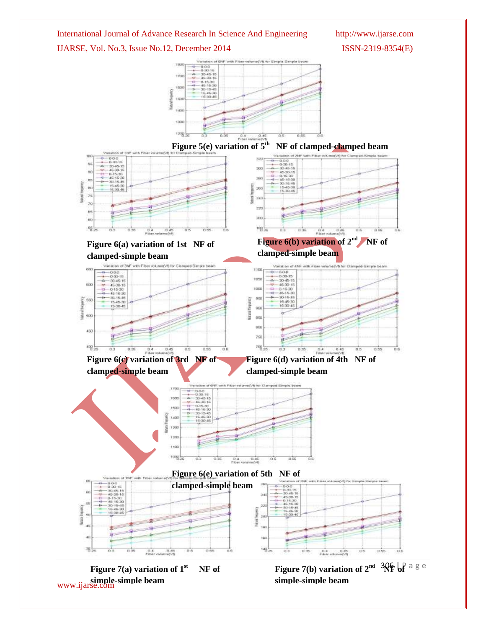International Journal of Advance Research In Science And Engineering http://www.ijarse.com IJARSE, Vol. No.3, Issue No.12, December 2014 ISSN-2319-8354(E)

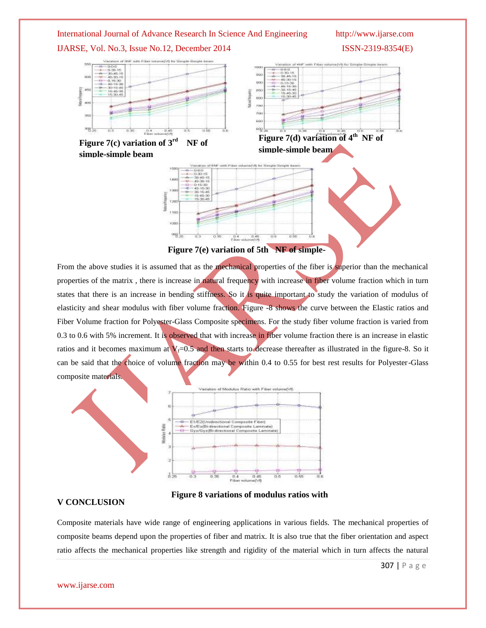# IJARSE, Vol. No.3, Issue No.12, December 2014 ISSN-2319-8354(E)





**Figure 7(e) variation of 5th NF of simple-**

From the above studies it is assumed that as the mechanical properties of the fiber is superior than the mechanical properties of the matrix, there is increase in natural frequency with increase in fiber volume fraction which in turn states that there is an increase in bending stiffness. So it is quite important to study the variation of modulus of elasticity and shear modulus with fiber volume fraction. Figure -8 shows the curve between the Elastic ratios and Fiber Volume fraction for Polyester-Glass Composite specimens. For the study fiber volume fraction is varied from 0.3 to 0.6 with 5% increment. It is observed that with increase in fiber volume fraction there is an increase in elastic ratios and it becomes maximum at  $V_f=0.5$  and then starts to decrease thereafter as illustrated in the figure-8. So it can be said that the choice of volume fraction may be within 0.4 to 0.55 for best results for Polyester-Glass composite materials.



**Figure 8 variations of modulus ratios with** 

## **V CONCLUSION**

Composite materials have wide range of engineering applications in various fields. The mechanical properties of composite beams depend upon the properties of fiber and matrix. It is also true that the fiber orientation and aspect ratio affects the mechanical properties like strength and rigidity of the material which in turn affects the natural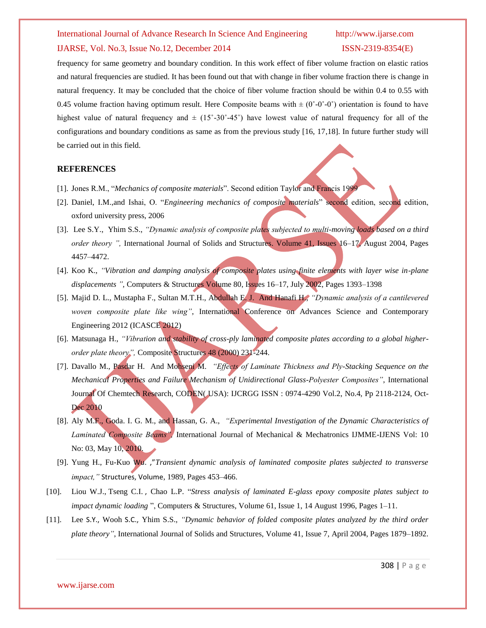# IJARSE, Vol. No.3, Issue No.12, December 2014 ISSN-2319-8354(E)

frequency for same geometry and boundary condition. In this work effect of fiber volume fraction on elastic ratios and natural frequencies are studied. It has been found out that with change in fiber volume fraction there is change in natural frequency. It may be concluded that the choice of fiber volume fraction should be within 0.4 to 0.55 with 0.45 volume fraction having optimum result. Here Composite beams with  $\pm$  (0°-0°-0°) orientation is found to have highest value of natural frequency and  $\pm$  (15°-30°-45°) have lowest value of natural frequency for all of the configurations and boundary conditions as same as from the previous study [16, 17,18]. In future further study will be carried out in this field.

### **REFERENCES**

- [1]. Jones R.M., "*Mechanics of composite materials*". Second edition Taylor and Francis 1999
- [2]. Daniel, I.M.,and Ishai, O. "*Engineering mechanics of composite materials*" second edition, second edition, oxford university press, 2006
- [3]. [Lee](http://www.sciencedirect.com/science/article/pii/S0020768304001556) S.Y., [Yhim](http://www.sciencedirect.com/science/article/pii/S0020768304001556) S.S., *"Dynamic analysis of composite plates subjected to multi-moving loads based on a third order theory ",* [International Journal of Solids and Structures.](http://www.sciencedirect.com/science/journal/00207683) [Volume 41, Issues 16–17,](http://www.sciencedirect.com/science/journal/00207683/41/16) August 2004, Pages 4457–4472.
- [4]. Koo K., *"Vibration and damping analysis of composite plates using finite elements with layer wise in-plane displacements ",* Computers & Structures Volume 80, Issues 16–17, July 2002, Pages 1393–1398
- [5]. Majid D. L., Mustapha F., Sultan M.T.H., Abdullah E. J. And Hanafi H., *"Dynamic analysis of a cantilevered woven composite plate like wing"*, International Conference on Advances Science and Contemporary Engineering 2012 (ICASCE 2012)
- [6]. Matsunaga H., *"Vibration and stability of cross-ply laminated composite plates according to a global higherorder plate theory",* Composite Structures 48 (2000) 231-244.
- [7]. Davallo M., Pasdar H. And Mohseni M. *"Effects of Laminate Thickness and Ply-Stacking Sequence on the Mechanical Properties and Failure Mechanism of Unidirectional Glass-Polyester Composites"*, International Journal Of Chemtech Research, CODEN( USA): IJCRGG ISSN : 0974-4290 Vol.2, No.4, Pp 2118-2124, Oct-Dec 2010
- [8]. Aly M.F., Goda. I. G. M., and Hassan, G. A., *"Experimental Investigation of the Dynamic Characteristics of Laminated Composite Beams",* International Journal of Mechanical & Mechatronics IJMME-IJENS Vol: 10 No: 03, May 10, 2010.
- [9]. [Yung](http://www.sciencedirect.com/science/article/pii/0045794989903933) H., [Fu-Kuo](http://www.sciencedirect.com/science/article/pii/0045794989903933) Wu. ,"*Transient dynamic analysis of laminated composite plates subjected to transverse impact,"* Structures, Volume, 1989, Pages 453–466.
- [10]. Liou W.J., Tseng C.I. , Chao L.P. "*Stress analysis of laminated E-glass epoxy composite plates subject to impact dynamic loading* ", Computers & Structures, Volume 61, Issue 1, 14 August 1996, Pages 1–11.
- [11]. Lee S.Y., Wooh S.C., Yhim S.S., *"Dynamic behavior of folded composite plates analyzed by the third order plate theory"*, International Journal of Solids and Structures, Volume 41, Issue 7, April 2004, Pages 1879–1892.